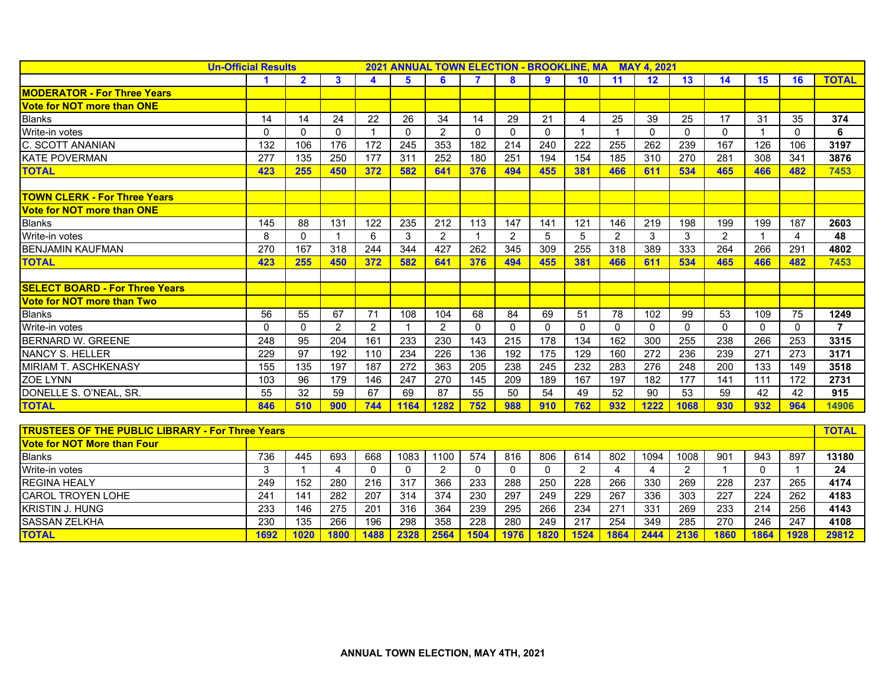| <b>Un-Official Results</b>                              |          |                |                | 2021 ANNUAL TOWN ELECTION - BROOKLINE, MA MAY 4, 2021 |                |                |                |                |              |                |                |              |                |                         |                |          |                |
|---------------------------------------------------------|----------|----------------|----------------|-------------------------------------------------------|----------------|----------------|----------------|----------------|--------------|----------------|----------------|--------------|----------------|-------------------------|----------------|----------|----------------|
|                                                         |          | $\overline{2}$ | $\mathbf{3}$   | 4                                                     | 5              | 6              |                | 8              | 9            | 10             | 11             | 12           | 13             | 14                      | 15             | 16       | <b>TOTAL</b>   |
| <b>MODERATOR - For Three Years</b>                      |          |                |                |                                                       |                |                |                |                |              |                |                |              |                |                         |                |          |                |
| <b>Vote for NOT more than ONE</b>                       |          |                |                |                                                       |                |                |                |                |              |                |                |              |                |                         |                |          |                |
| <b>Blanks</b>                                           | 14       | 14             | 24             | 22                                                    | 26             | 34             | 14             | 29             | 21           | 4              | 25             | 39           | 25             | 17                      | 31             | 35       | 374            |
| Write-in votes                                          | 0        | $\Omega$       | $\mathbf{0}$   | $\mathbf 1$                                           | $\Omega$       | 2              | $\Omega$       | $\mathbf{0}$   | $\mathbf{0}$ |                | -1             | $\mathbf{0}$ | $\mathbf{0}$   | $\mathbf{0}$            | -1             | $\Omega$ | 6              |
| C. SCOTT ANANIAN                                        | 132      | 106            | 176            | 172                                                   | 245            | 353            | 182            | 214            | 240          | 222            | 255            | 262          | 239            | 167                     | 126            | 106      | 3197           |
| <b>KATE POVERMAN</b>                                    | 277      | 135            | 250            | 177                                                   | 311            | 252            | 180            | 251            | 194          | 154            | 185            | 310          | 270            | 281                     | 308            | 341      | 3876           |
| <b>TOTAL</b>                                            | 423      | 255            | 450            | 372                                                   | 582            | 641            | 376            | 494            | 455          | 381            | 466            | 611          | 534            | 465                     | 466            | 482      | 7453           |
|                                                         |          |                |                |                                                       |                |                |                |                |              |                |                |              |                |                         |                |          |                |
| <b>TOWN CLERK - For Three Years</b>                     |          |                |                |                                                       |                |                |                |                |              |                |                |              |                |                         |                |          |                |
| <b>Vote for NOT more than ONE</b>                       |          |                |                |                                                       |                |                |                |                |              |                |                |              |                |                         |                |          |                |
| <b>Blanks</b>                                           | 145      | 88             | 131            | 122                                                   | 235            | 212            | 113            | 147            | 141          | 121            | 146            | 219          | 198            | 199                     | 199            | 187      | 2603           |
| Write-in votes                                          | 8        | $\Omega$       | $\overline{1}$ | 6                                                     | 3              | 2              | $\overline{1}$ | $\overline{2}$ | 5            | 5              | $\overline{2}$ | 3            | 3              | $\overline{2}$          | $\overline{1}$ | 4        | 48             |
| <b>BENJAMIN KAUFMAN</b>                                 | 270      | 167            | 318            | 244                                                   | 344            | 427            | 262            | 345            | 309          | 255            | 318            | 389          | 333            | 264                     | 266            | 291      | 4802           |
| <b>TOTAL</b>                                            | 423      | 255            | 450            | 372                                                   | 582            | 641            | 376            | 494            | 455          | 381            | 466            | 611          | 534            | 465                     | 466            | 482      | 7453           |
|                                                         |          |                |                |                                                       |                |                |                |                |              |                |                |              |                |                         |                |          |                |
| <b>SELECT BOARD - For Three Years</b>                   |          |                |                |                                                       |                |                |                |                |              |                |                |              |                |                         |                |          |                |
| <b>Vote for NOT more than Two</b>                       |          |                |                |                                                       |                |                |                |                |              |                |                |              |                |                         |                |          |                |
| <b>Blanks</b>                                           | 56       | 55             | 67             | 71                                                    | 108            | 104            | 68             | 84             | 69           | 51             | 78             | 102          | 99             | 53                      | 109            | 75       | 1249           |
| Write-in votes                                          | $\Omega$ | $\Omega$       | $\overline{2}$ | $\overline{2}$                                        | $\overline{1}$ | $\overline{2}$ | $\mathbf{0}$   | $\Omega$       | $\Omega$     | $\Omega$       | $\Omega$       | $\mathbf{0}$ | $\mathbf{0}$   | $\mathbf{0}$            | $\Omega$       | $\Omega$ | $\overline{7}$ |
| <b>BERNARD W. GREENE</b>                                | 248      | 95             | 204            | 161                                                   | 233            | 230            | 143            | 215            | 178          | 134            | 162            | 300          | 255            | 238                     | 266            | 253      | 3315           |
| <b>NANCY S. HELLER</b>                                  | 229      | 97             | 192            | 110                                                   | 234            | 226            | 136            | 192            | 175          | 129            | 160            | 272          | 236            | 239                     | 271            | 273      | 3171           |
| MIRIAM T. ASCHKENASY                                    | 155      | 135            | 197            | 187                                                   | 272            | 363            | 205            | 238            | 245          | 232            | 283            | 276          | 248            | 200                     | 133            | 149      | 3518           |
| <b>ZOE LYNN</b>                                         | 103      | 96             | 179            | 146                                                   | 247            | 270            | 145            | 209            | 189          | 167            | 197            | 182          | 177            | 141                     | 111            | 172      | 2731           |
| DONELLE S. O'NEAL, SR.                                  | 55       | 32             | 59             | 67                                                    | 69             | 87             | 55             | 50             | 54           | 49             | 52             | 90           | 53             | 59                      | 42             | 42       | 915            |
| <b>TOTAL</b>                                            | 846      | 510            | 900            | 744                                                   | 1164           | 1282           | 752            | 988            | 910          | 762            | 932            | 1222         | 1068           | 930                     | 932            | 964      | 14906          |
|                                                         |          |                |                |                                                       |                |                |                |                |              |                |                |              |                |                         |                |          |                |
| <b>TRUSTEES OF THE PUBLIC LIBRARY - For Three Years</b> |          |                |                |                                                       |                |                |                |                |              |                |                |              |                |                         |                |          | <b>TOTAL</b>   |
| <b>Vote for NOT More than Four</b>                      |          |                |                |                                                       |                |                |                |                |              |                |                |              |                |                         |                |          |                |
| <b>Blanks</b>                                           | 736      | 445            | 693            | 668                                                   | 1083           | 1100           | 574            | 816            | 806          | 614            | 802            | 1094         | 1008           | 901                     | 943            | 897      | 13180          |
| Write-in votes                                          | 3        | $\mathbf{1}$   | $\overline{4}$ | $\Omega$                                              | $\mathbf 0$    | 2              | $\mathbf 0$    | 0              | $\mathbf{0}$ | $\overline{2}$ | 4              | 4            | $\overline{2}$ | $\overline{\mathbf{1}}$ | $\mathbf{0}$   | -1       | 24             |
| <b>REGINA HEALY</b>                                     | 249      | 152            | 280            | 216                                                   | 317            | 366            | 233            | 288            | 250          | 228            | 266            | 330          | 269            | 228                     | 237            | 265      | 4174           |
| <b>CAROL TROYEN LOHE</b>                                | 241      | 141            | 282            | 207                                                   | 314            | 374            | 230            | 297            | 249          | 229            | 267            | 336          | 303            | 227                     | 224            | 262      | 4183           |
| <b>KRISTIN J. HUNG</b>                                  | 233      | 146            | 275            | 201                                                   | 316            | 364            | 239            | 295            | 266          | 234            | 271            | 331          | 269            | 233                     | 214            | 256      | 4143           |
| <b>SASSAN ZELKHA</b>                                    | 230      | 135            | 266            | 196                                                   | 298            | 358            | 228            | 280            | 249          | 217            | 254            | 349          | 285            | 270                     | 246            | 247      | 4108           |

TOTAL | 1692 | 1020 | 1800 | 1488 | 2328 | 2564 | 1504 | 1976 | 1820 | 1524 | 1864 | 2444 | 2136 | 1860 | 1864 | 1928 | 29812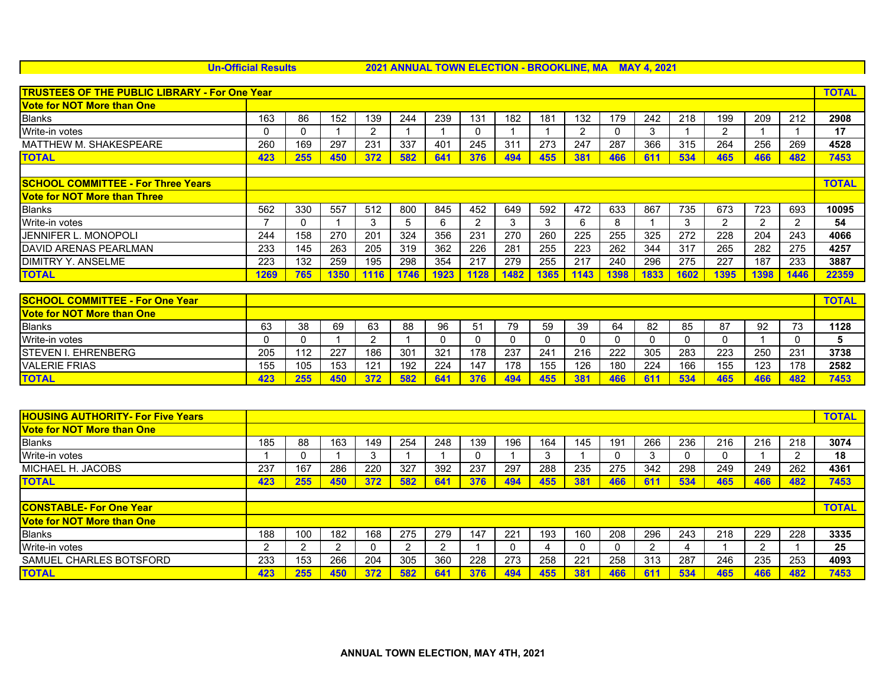**Un-Official Results 2021 ANNUAL TOWN ELECTION - BROOKLINE, MA MAY 4, 2021**

| <b>TRUSTEES OF THE PUBLIC LIBRARY - For One Year</b> |      |     |      |      |      |                 |      |      |      |      |     |      | <b>TOTAL</b> |      |      |      |              |
|------------------------------------------------------|------|-----|------|------|------|-----------------|------|------|------|------|-----|------|--------------|------|------|------|--------------|
| <b>Vote for NOT More than One</b>                    |      |     |      |      |      |                 |      |      |      |      |     |      |              |      |      |      |              |
| <b>Blanks</b>                                        | 163  | 86  | 152  | 139  | 244  | 239             | 131  | 182  | 181  | 132  | 179 | 242  | 218          | 199  | 209  | 212  | 2908         |
| Write-in votes                                       | 0    |     |      | 2    |      |                 |      |      |      |      |     | 3    |              | っ    |      |      | 17           |
| <b>MATTHEW M. SHAKESPEARE</b>                        | 260  | 169 | 297  | 231  | 337  | 40 <sup>4</sup> | 245  | 311  | 273  | 247  | 287 | 366  | 315          | 264  | 256  | 269  | 4528         |
| <b>TOTAL</b>                                         | 423  | 255 | 450  | 372  | 582  | 641             | 376  | 494  | 455  | 381  | 466 | 611  | 534          | 465  | 466  | 482  | 7453         |
|                                                      |      |     |      |      |      |                 |      |      |      |      |     |      |              |      |      |      |              |
| <b>ISCHOOL COMMITTEE - For Three Years</b>           |      |     |      |      |      |                 |      |      |      |      |     |      |              |      |      |      | <b>TOTAL</b> |
| <u>lVote for NOT More than Three</u>                 |      |     |      |      |      |                 |      |      |      |      |     |      |              |      |      |      |              |
| <b>Blanks</b>                                        | 562  | 330 | 557  | 512  | 800  | 845             | 452  | 649  | 592  | 472  | 633 | 867  | 735          | 673  | 723  | 693  | 10095        |
| Write-in votes                                       |      |     |      | 3    | ۰.   | 6               | っ    | 3    | 3    | n    | 8   |      | 3            | 2    |      |      | 54           |
| IJENNIFER L. MONOPOLI                                | 244  | 158 | 270  | 201  | 324  | 356             | 231  | 270  | 260  | 225  | 255 | 325  | 272          | 228  | 204  | 243  | 4066         |
| <b>IDAVID ARENAS PEARLMAN</b>                        | 233  | 145 | 263  | 205  | 319  | 362             | 226  | 281  | 255  | 223  | 262 | 344  | 317          | 265  | 282  | 275  | 4257         |
| <b>IDIMITRY Y. ANSELME</b>                           | 223  | 132 | 259  | 195  | 298  | 354             | 217  | 279  | 255  | 217  | 240 | 296  | 275          | 227  | 187  | 233  | 3887         |
| <b>TOTAL</b>                                         | 1269 | 765 | 1350 | 1116 | 1746 | 1923            | 1128 | 1482 | 1365 | 1143 | 398 | 1833 | 1602         | 1395 | 1398 | 1446 | 22359        |

| <b>SCHOOL COMMITTEE - For One Year</b> |     |     |     |     |     |                 |                |     |     |     |     |     |           |     |     |                          | <b>TOTAL</b> |
|----------------------------------------|-----|-----|-----|-----|-----|-----------------|----------------|-----|-----|-----|-----|-----|-----------|-----|-----|--------------------------|--------------|
| <b>Vote for NOT More than One</b>      |     |     |     |     |     |                 |                |     |     |     |     |     |           |     |     |                          |              |
| <b>Blanks</b>                          | 63  | 38  | 69  | 63  | 88  | 96              | 5 <sup>1</sup> | 79  | 59  | 39  | 64  | 82  | 85        | 87  | 92  | $\overline{\phantom{a}}$ | 1128         |
| Write-in votes                         |     |     |     |     |     |                 |                |     |     |     |     |     |           |     |     |                          |              |
| <b>ISTEVEN I. EHRENBERG</b>            | 205 | 112 | 227 | 186 | 301 | 32 <sup>2</sup> | 178            | 237 | 241 | 216 | 222 | 305 | 283       | 223 | 250 | 231                      | 3738         |
| <b>VALERIE FRIAS</b>                   | 155 | 105 | 153 | 121 | 192 | 224             | 147            | 178 | 155 | 126 | 180 | 224 | 166       | 155 | 123 | 78                       | 2582         |
| <b>TOTAL</b>                           | 423 | 255 | 450 | 27' | 582 | 64'             | 376            | 494 | 455 | 381 | 466 | 61' | 53A<br>-- | 465 | 466 | 48:                      | 7453         |

| <b>HOUSING AUTHORITY- For Five Years</b> |     |     |     |     |     |     |     |     |     |     |     |     |     |     |     |     | <b>TOTAL</b> |
|------------------------------------------|-----|-----|-----|-----|-----|-----|-----|-----|-----|-----|-----|-----|-----|-----|-----|-----|--------------|
| <b>Vote for NOT More than One</b>        |     |     |     |     |     |     |     |     |     |     |     |     |     |     |     |     |              |
| <b>Blanks</b>                            | 185 | 88  | 163 | 149 | 254 | 248 | 139 | 196 | 164 | 145 | 191 | 266 | 236 | 216 | 216 | 218 | 3074         |
| Write-in votes                           |     |     |     | 3   |     |     |     |     |     |     |     |     |     |     |     |     | 18           |
| MICHAEL H. JACOBS                        | 237 | 167 | 286 | 220 | 327 | 392 | 237 | 297 | 288 | 235 | 275 | 342 | 298 | 249 | 249 | 262 | 4361         |
| <b>TOTAL</b>                             | 423 | 255 | 450 | 372 | 582 | 641 | 376 | 494 | 455 | 381 | 466 | 611 | 534 | 465 | 466 | 482 | 7453         |
|                                          |     |     |     |     |     |     |     |     |     |     |     |     |     |     |     |     |              |
| <b>ICONSTABLE- For One Year</b>          |     |     |     |     |     |     |     |     |     |     |     |     |     |     |     |     | <b>TOTAL</b> |
| <b>Vote for NOT More than One</b>        |     |     |     |     |     |     |     |     |     |     |     |     |     |     |     |     |              |
| <b>Blanks</b>                            | 188 | 100 | 182 | 168 | 275 | 279 | 147 | 221 | 193 | 160 | 208 | 296 | 243 | 218 | 229 | 228 | 3335         |
| Write-in votes                           |     |     | ⌒   | 0   | າ   |     |     |     | 4   |     |     |     |     |     |     |     | 25           |
| SAMUEL CHARLES BOTSFORD                  | 233 | 153 | 266 | 204 | 305 | 360 | 228 | 273 | 258 | 221 | 258 | 313 | 287 | 246 | 235 | 253 | 4093         |
| <b>TOTAL</b>                             | 423 | 255 | 450 | 372 | 582 | 641 | 376 | 494 | 455 | 381 | 466 | 611 | 534 | 465 | 466 | 482 | 7453         |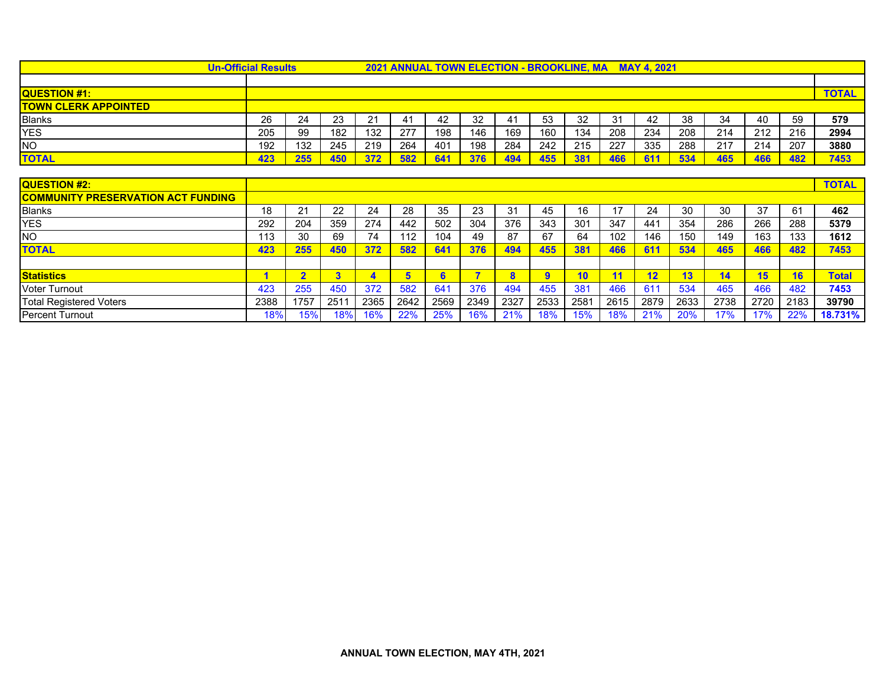| <b>Un-Official Results</b>                |      |                |                |                         |      |      |      |          |                | <b>2021 ANNUAL TOWN ELECTION - BROOKLINE, MA</b> |      | <b>MAY 4.2021</b> |      |      |      |      |              |
|-------------------------------------------|------|----------------|----------------|-------------------------|------|------|------|----------|----------------|--------------------------------------------------|------|-------------------|------|------|------|------|--------------|
|                                           |      |                |                |                         |      |      |      |          |                |                                                  |      |                   |      |      |      |      |              |
| <b>QUESTION #1:</b>                       |      |                |                |                         |      |      |      |          |                |                                                  |      |                   |      |      |      |      | <b>TOTAL</b> |
| <b>TOWN CLERK APPOINTED</b>               |      |                |                |                         |      |      |      |          |                |                                                  |      |                   |      |      |      |      |              |
| <b>Blanks</b>                             | 26   | 24             | 23             | 21                      | 41   | 42   | 32   | 41       | 53             | 32                                               | 31   | 42                | 38   | 34   | 40   | 59   | 579          |
| <b>YES</b>                                | 205  | 99             | 182            | 132                     | 277  | 198  | 146  | 169      | 160            | 134                                              | 208  | 234               | 208  | 214  | 212  | 216  | 2994         |
| <b>NO</b>                                 | 192  | 132            | 245            | 219                     | 264  | 401  | 198  | 284      | 242            | 215                                              | 227  | 335               | 288  | 217  | 214  | 207  | 3880         |
| <b>TOTAL</b>                              | 423  | 255            | 450            | 372                     | 582  | 641  | 376  | 494      | 455            | 381                                              | 466  | 611               | 534  | 465  | 466  | 482  | 7453         |
|                                           |      |                |                |                         |      |      |      |          |                |                                                  |      |                   |      |      |      |      |              |
| QUESTION #2:                              |      |                |                |                         |      |      |      |          |                |                                                  |      |                   |      |      |      |      | <b>TOTAL</b> |
| <b>COMMUNITY PRESERVATION ACT FUNDING</b> |      |                |                |                         |      |      |      |          |                |                                                  |      |                   |      |      |      |      |              |
| <b>Blanks</b>                             | 18   | 21             | 22             | 24                      | 28   | 35   | 23   | 31       | 45             | 16                                               | 17   | 24                | 30   | 30   | 37   | 61   | 462          |
| <b>YES</b>                                | 292  | 204            | 359            | 274                     | 442  | 502  | 304  | 376      | 343            | 301                                              | 347  | 441               | 354  | 286  | 266  | 288  | 5379         |
| <b>NO</b>                                 | 113  | 30             | 69             | 74                      | 112  | 104  | 49   | 87       | 67             | 64                                               | 102  | 146               | 150  | 149  | 163  | 133  | 1612         |
| TOTAL                                     | 423  | 255            | 450            | 372                     | 582  | 641  | 376  | 494      | 455            | 381                                              | 466  | 611               | 534  | 465  | 466  | 482  | 7453         |
|                                           |      |                |                |                         |      |      |      |          |                |                                                  |      |                   |      |      |      |      |              |
| <b>Statistics</b>                         |      | $\overline{2}$ | 3 <sup>1</sup> | $\overline{\mathbf{A}}$ | 5    | 6    | 5    | $\bf{8}$ | $\overline{9}$ | 10                                               | 11   | 12                | 13   | 14   | 15   | 16   | <b>Total</b> |
| <b>Voter Turnout</b>                      | 423  | 255            | 450            | 372                     | 582  | 641  | 376  | 494      | 455            | 381                                              | 466  | 611               | 534  | 465  | 466  | 482  | 7453         |
| <b>Total Registered Voters</b>            | 2388 | 1757           | 251'           | 2365                    | 2642 | 2569 | 2349 | 2327     | 2533           | 2581                                             | 2615 | 2879              | 2633 | 2738 | 2720 | 2183 | 39790        |
| <b>Percent Turnout</b>                    | 18%  | 15%            | 18%            | 16%                     | 22%  | 25%  | 16%  | 21%      | 18%            | 15%                                              | 18%  | 21%               | 20%  | 17%  | 17%  | 22%  | 18.731%      |

Percent Turnout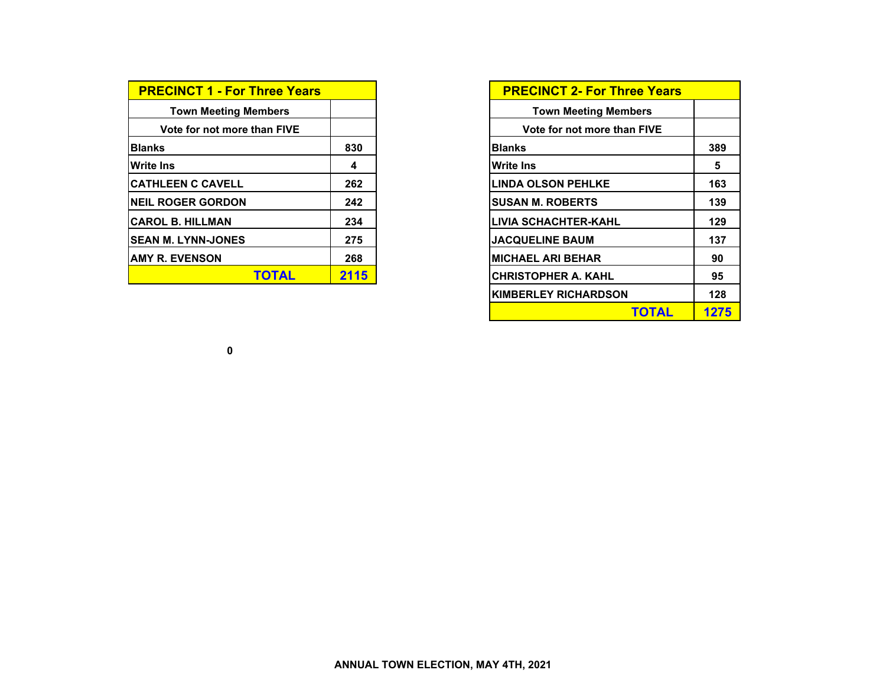| <b>PRECINCT 1 - For Three Years</b> |      |
|-------------------------------------|------|
| <b>Town Meeting Members</b>         |      |
| Vote for not more than FIVE         |      |
| <b>Blanks</b>                       | 830  |
| <b>Write Ins</b>                    | 4    |
| <b>CATHLEEN C CAVELL</b>            | 262  |
| <b>NEIL ROGER GORDON</b>            | 242  |
| <b>ICAROL B. HILLMAN</b>            | 234  |
| <b>ISEAN M. LYNN-JONES</b>          | 275  |
| <b>JAMY R. EVENSON</b>              | 268  |
| TOTAL                               | 2115 |

| <b>PRECINCT 2- For Three Years</b> |      |
|------------------------------------|------|
| <b>Town Meeting Members</b>        |      |
| Vote for not more than FIVE        |      |
| Blanks                             | 389  |
| Write Ins                          | 5    |
| <b>LINDA OLSON PEHLKE</b>          | 163  |
| <b>SUSAN M. ROBERTS</b>            | 139  |
| LIVIA SCHACHTER-KAHL               | 129  |
| <b>JACQUELINE BAUM</b>             | 137  |
| <b>MICHAEL ARI BEHAR</b>           | 90   |
| <b>CHRISTOPHER A. KAHL</b>         | 95   |
| <b>KIMBERLEY RICHARDSON</b>        | 128  |
| TOTAL                              | 1275 |

**0**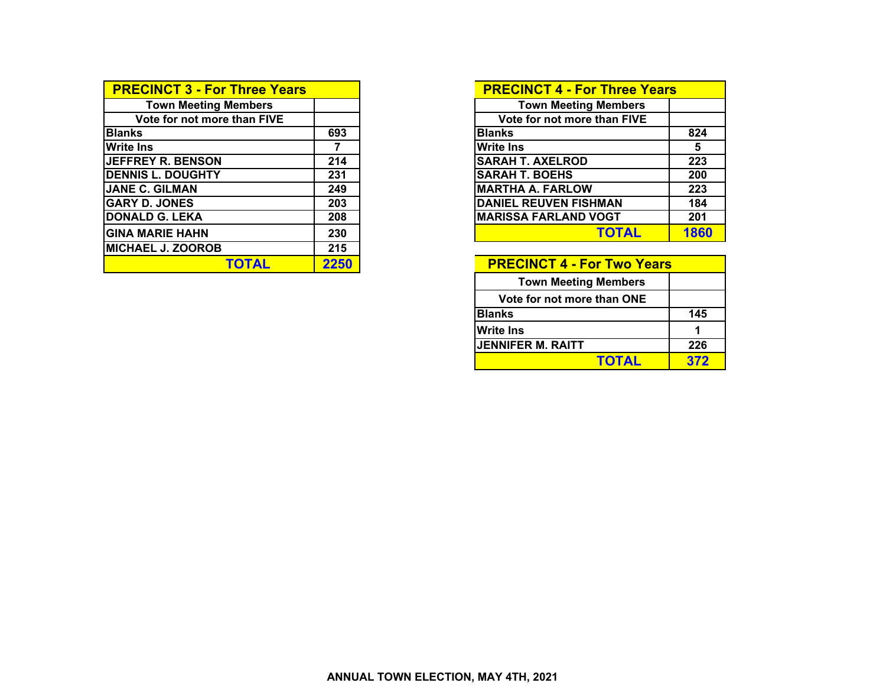| <b>PRECINCT 3 - For Three Years</b> |      | <b>PRECINCT 4 - For Three Years</b> |      |
|-------------------------------------|------|-------------------------------------|------|
| <b>Town Meeting Members</b>         |      | <b>Town Meeting Members</b>         |      |
| Vote for not more than FIVE         |      | Vote for not more than FIVE         |      |
| <b>Blanks</b>                       | 693  | <b>Blanks</b>                       | 824  |
| <b>Write Ins</b>                    |      | <b>Write Ins</b>                    | 5    |
| <b>JEFFREY R. BENSON</b>            | 214  | <b>SARAH T. AXELROD</b>             | 223  |
| <b>DENNIS L. DOUGHTY</b>            | 231  | <b>SARAH T. BOEHS</b>               | 200  |
| <b>JANE C. GILMAN</b>               | 249  | <b>MARTHA A. FARLOW</b>             | 223  |
| <b>GARY D. JONES</b>                | 203  | <b>DANIEL REUVEN FISHMAN</b>        | 184  |
| <b>DONALD G. LEKA</b>               | 208  | <b>MARISSA FARLAND VOGT</b>         | 201  |
| <b>GINA MARIE HAHN</b>              | 230  | <b>TOTAL</b>                        | 1860 |
| <b>MICHAEL J. ZOOROB</b>            | 215  |                                     |      |
| TOTAL                               | 2250 | <b>PRECINCT 4 - For Two Years</b>   |      |

| <b>PRECINCT 4 - For Three Years</b> |      |
|-------------------------------------|------|
| <b>Town Meeting Members</b>         |      |
| Vote for not more than FIVE         |      |
| <b>Blanks</b>                       | 824  |
| <b>Write Ins</b>                    | 5    |
| <b>SARAH T. AXELROD</b>             | 223  |
| <b>SARAH T. BOEHS</b>               | 200  |
| <b>MARTHA A. FARLOW</b>             | 223  |
| <b>DANIEL REUVEN FISHMAN</b>        | 184  |
| <b>MARISSA FARLAND VOGT</b>         | 201  |
| TOTAL                               | 1860 |

| <b>PRECINCT 4 - For Two Years</b> |     |  |  |  |  |  |  |  |
|-----------------------------------|-----|--|--|--|--|--|--|--|
| <b>Town Meeting Members</b>       |     |  |  |  |  |  |  |  |
| Vote for not more than ONE        |     |  |  |  |  |  |  |  |
| <b>Blanks</b>                     | 145 |  |  |  |  |  |  |  |
| <b>Write Ins</b>                  |     |  |  |  |  |  |  |  |
| <b>JENNIFER M. RAITT</b>          | 226 |  |  |  |  |  |  |  |
| <b>TOTAL</b>                      | 372 |  |  |  |  |  |  |  |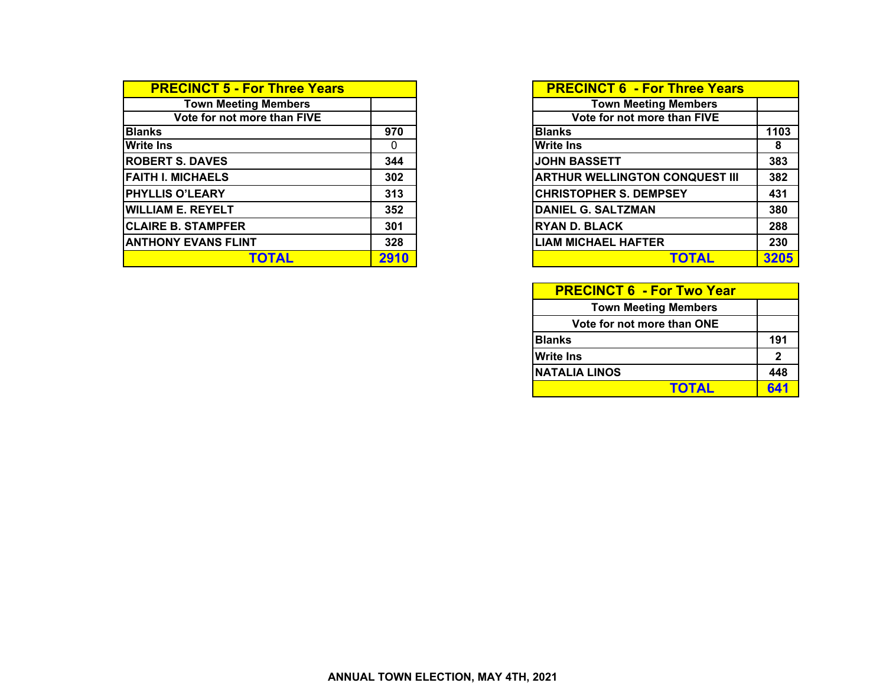| <b>PRECINCT 5 - For Three Years</b> |      | <b>PRECINCT 6 - For Three Years</b>   |  |
|-------------------------------------|------|---------------------------------------|--|
| <b>Town Meeting Members</b>         |      | <b>Town Meeting Members</b>           |  |
| Vote for not more than FIVE         |      | Vote for not more than FIVE           |  |
| <b>Blanks</b>                       | 970  | <b>Blanks</b>                         |  |
| <b>Write Ins</b>                    | 0    | <b>Write Ins</b>                      |  |
| <b>ROBERT S. DAVES</b>              | 344  | <b>JOHN BASSETT</b>                   |  |
| <b>FAITH I. MICHAELS</b>            | 302  | <b>ARTHUR WELLINGTON CONQUEST III</b> |  |
| <b>PHYLLIS O'LEARY</b>              | 313  | <b>CHRISTOPHER S. DEMPSEY</b>         |  |
| <b>WILLIAM E. REYELT</b>            | 352  | DANIEL G. SALTZMAN                    |  |
| <b>CLAIRE B. STAMPFER</b>           | 301  | <b>RYAN D. BLACK</b>                  |  |
| <b>ANTHONY EVANS FLINT</b>          | 328  | <b>LIAM MICHAEL HAFTER</b>            |  |
| <b>TOTAL</b>                        | 2910 | TOTAL                                 |  |

|                 | <b>PRECINCT 6 - For Three Years</b>   |      |
|-----------------|---------------------------------------|------|
|                 | <b>Town Meeting Members</b>           |      |
|                 | Vote for not more than FIVE           |      |
| $\overline{70}$ | <b>Blanks</b>                         | 1103 |
| $\overline{0}$  | <b>Write Ins</b>                      | 8    |
| 44              | <b>JOHN BASSETT</b>                   | 383  |
| 02              | <b>ARTHUR WELLINGTON CONQUEST III</b> | 382  |
| $\overline{13}$ | <b>CHRISTOPHER S. DEMPSEY</b>         | 431  |
| 52              | <b>DANIEL G. SALTZMAN</b>             | 380  |
| 01              | <b>RYAN D. BLACK</b>                  | 288  |
| 28              | <b>LIAM MICHAEL HAFTER</b>            | 230  |
| <b>10</b>       |                                       | 3205 |

| <b>PRECINCT 6 - For Two Year</b> |              |
|----------------------------------|--------------|
| <b>Town Meeting Members</b>      |              |
| Vote for not more than ONE       |              |
| <b>Blanks</b>                    | 191          |
| <b>Write Ins</b>                 | $\mathbf{2}$ |
| INATALIA LINOS                   | 448          |
| <b>TOTAL</b>                     | 641          |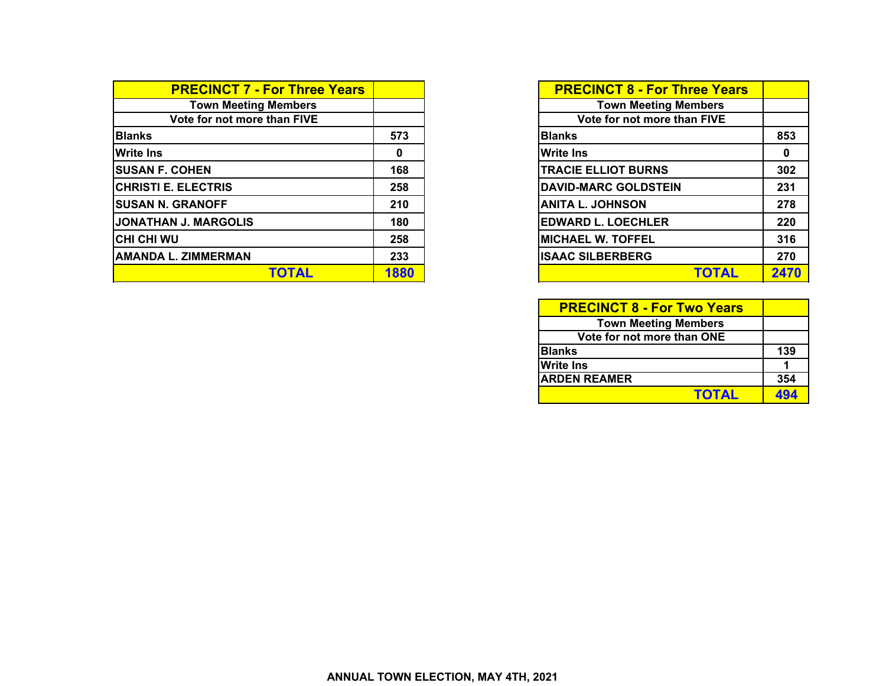| <b>PRECINCT 7 - For Three Years</b> |      | <b>PRECINCT 8 - For Three Years</b> |             |
|-------------------------------------|------|-------------------------------------|-------------|
| <b>Town Meeting Members</b>         |      | <b>Town Meeting Members</b>         |             |
| Vote for not more than FIVE         |      | Vote for not more than FIVE         |             |
| <b>Blanks</b>                       | 573  | <b>Blanks</b>                       | 853         |
| <b>Write Ins</b>                    | 0    | <b>Write Ins</b>                    | $\mathbf 0$ |
| <b>SUSAN F. COHEN</b>               | 168  | <b>TRACIE ELLIOT BURNS</b>          | 302         |
| <b>CHRISTI E. ELECTRIS</b>          | 258  | <b>DAVID-MARC GOLDSTEIN</b>         | 231         |
| <b>SUSAN N. GRANOFF</b>             | 210  | <b>ANITA L. JOHNSON</b>             | 278         |
| JONATHAN J. MARGOLIS                | 180  | <b>EDWARD L. LOECHLER</b>           | 220         |
| ICHI CHI WU                         | 258  | <b>MICHAEL W. TOFFEL</b>            | 316         |
| <b>AMANDA L. ZIMMERMAN</b>          | 233  | <b>ISAAC SILBERBERG</b>             | 270         |
| <b>TOTAL</b>                        | 1880 | <b>TOTAL</b>                        | 2470        |

| <b>PRECINCT 8 - For Three Years</b> |      |
|-------------------------------------|------|
| <b>Town Meeting Members</b>         |      |
| Vote for not more than FIVE         |      |
| <b>Blanks</b>                       | 853  |
| <b>Write Ins</b>                    | Ω    |
| <b>TRACIE ELLIOT BURNS</b>          | 302  |
| <b>DAVID-MARC GOLDSTEIN</b>         | 231  |
| <b>ANITA L. JOHNSON</b>             | 278  |
| <b>EDWARD L. LOECHLER</b>           | 220  |
| <b>MICHAEL W. TOFFEL</b>            | 316  |
| <b>ISAAC SILBERBERG</b>             | 270  |
| <b>TOTAL</b>                        | 2470 |

| <b>PRECINCT 8 - For Two Years</b> |     |
|-----------------------------------|-----|
| <b>Town Meeting Members</b>       |     |
| Vote for not more than ONE        |     |
| <b>Blanks</b>                     | 139 |
| <b>Write Ins</b>                  |     |
| <b>ARDEN REAMER</b>               | 354 |
| <b>TOTAL</b>                      | 494 |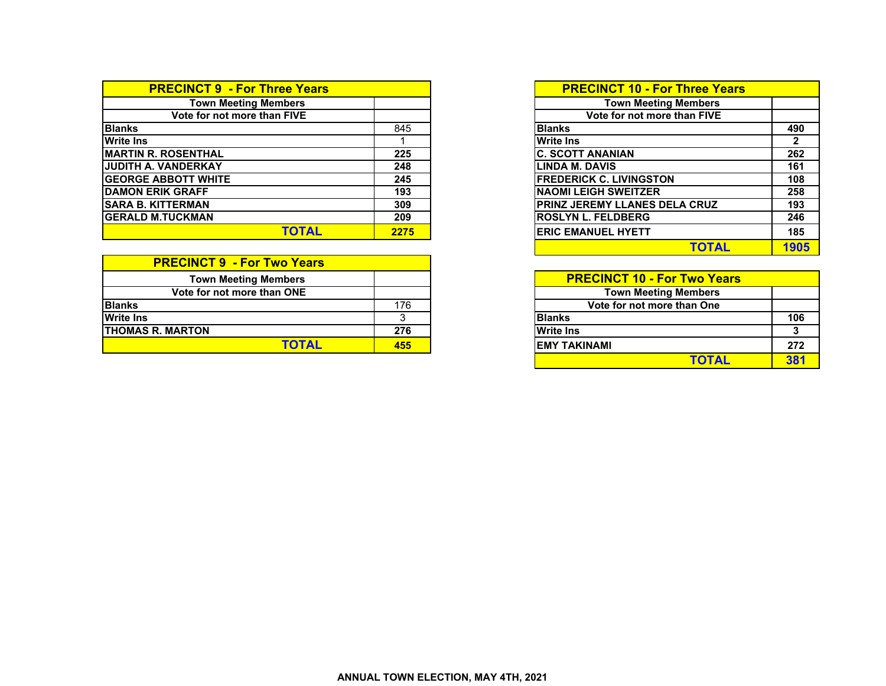| <b>PRECINCT 9 - For Three Years</b> |      | <b>PRECINCT 10 - For Three Years</b>  |
|-------------------------------------|------|---------------------------------------|
| <b>Town Meeting Members</b>         |      | <b>Town Meeting Members</b>           |
| Vote for not more than FIVE         |      | Vote for not more than FIVE           |
| <b>Blanks</b>                       | 845  | <b>Blanks</b>                         |
| <b>Write Ins</b>                    |      | <b>Write Ins</b>                      |
| <b>IMARTIN R. ROSENTHAL</b>         | 225  | <b>C. SCOTT ANANIAN</b>               |
| <b>JJUDITH A. VANDERKAY</b>         | 248  | LINDA M. DAVIS                        |
| <b>IGEORGE ABBOTT WHITE</b>         | 245  | <b>FREDERICK C. LIVINGSTON</b>        |
| <b>DAMON ERIK GRAFF</b>             | 193  | <b>INAOMI LEIGH SWEITZER</b>          |
| <b>ISARA B. KITTERMAN</b>           | 309  | <b>IPRINZ JEREMY LLANES DELA CRUZ</b> |
| <b>IGERALD M.TUCKMAN</b>            | 209  | <b>IROSLYN L. FELDBERG</b>            |
| TOTAL                               | 2275 | <b>IERIC EMANUEL HYETT</b>            |

| <b>PRECINCT 9 - For Two Years</b> |     |                                    |
|-----------------------------------|-----|------------------------------------|
| <b>Town Meeting Members</b>       |     | <b>PRECINCT 10 - For Two Years</b> |
| Vote for not more than ONE        |     | <b>Town Meeting Members</b>        |
| <b>Blanks</b>                     | 176 | Vote for not more than One         |
| <b>Write Ins</b>                  |     | <b>Blanks</b>                      |
| <b>ITHOMAS R. MARTON</b>          | 276 | <b>Write Ins</b>                   |
| <b>TOTAL</b>                      | 455 | <b>IEMY TAKINAMI</b>               |

| <b>irs</b> |      | <b>PRECINCT 10 - For Three Years</b> |      |
|------------|------|--------------------------------------|------|
|            |      | <b>Town Meeting Members</b>          |      |
|            |      | Vote for not more than FIVE          |      |
|            | 845  | <b>Blanks</b>                        | 490  |
|            |      | <b>Write Ins</b>                     |      |
|            | 225  | <b>C. SCOTT ANANIAN</b>              | 262  |
|            | 248  | <b>LINDA M. DAVIS</b>                | 161  |
|            | 245  | <b>FREDERICK C. LIVINGSTON</b>       | 108  |
|            | 193  | <b>NAOMI LEIGH SWEITZER</b>          | 258  |
|            | 309  | <b>PRINZ JEREMY LLANES DELA CRUZ</b> | 193  |
|            | 209  | <b>ROSLYN L. FELDBERG</b>            | 246  |
|            | 2275 | <b>ERIC EMANUEL HYETT</b>            | 185  |
|            |      | <b>TOTAL</b>                         | 1905 |

|     | <b>PRECINCT 10 - For Two Years</b> |     |
|-----|------------------------------------|-----|
|     | <b>Town Meeting Members</b>        |     |
| 176 | Vote for not more than One         |     |
|     | <b>Blanks</b>                      | 106 |
| 276 | <b>Write Ins</b>                   |     |
| 455 | <b>EMY TAKINAMI</b>                | 272 |
|     | ΤΩΤΔΙ                              |     |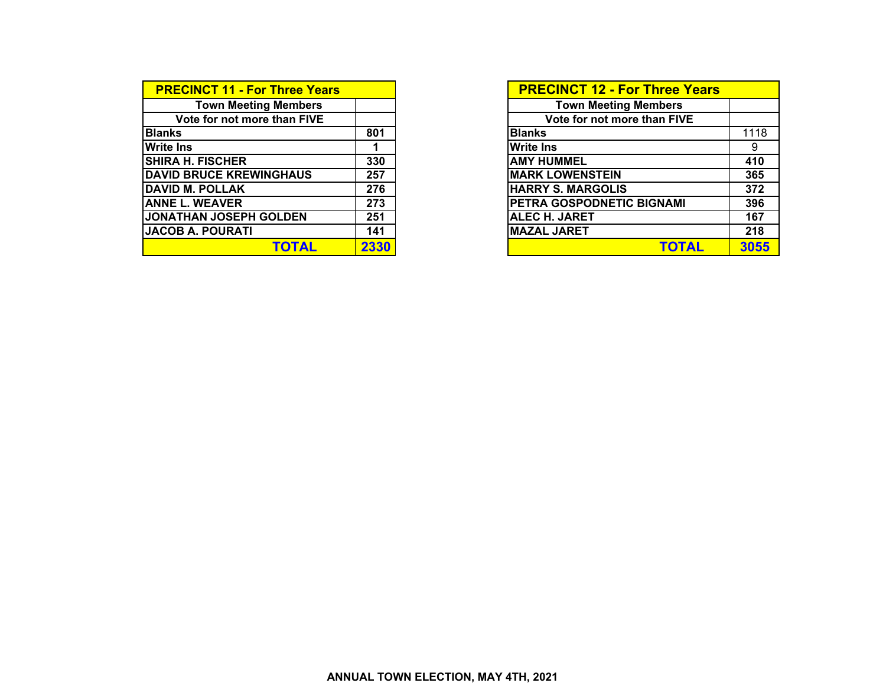| <b>PRECINCT 11 - For Three Years</b> |      | <b>PRECINCT 12 - For Three Years</b> |
|--------------------------------------|------|--------------------------------------|
| <b>Town Meeting Members</b>          |      | <b>Town Meeting Members</b>          |
| Vote for not more than FIVE          |      | Vote for not more than FIVE          |
| <b>Blanks</b>                        | 801  | <b>Blanks</b>                        |
| <b>Write Ins</b>                     |      | <b>Write Ins</b>                     |
| <b>SHIRA H. FISCHER</b>              | 330  | <b>AMY HUMMEL</b>                    |
| <b>DAVID BRUCE KREWINGHAUS</b>       | 257  | <b>MARK LOWENSTEIN</b>               |
| <b>DAVID M. POLLAK</b>               | 276  | <b>HARRY S. MARGOLIS</b>             |
| <b>ANNE L. WEAVER</b>                | 273  | PETRA GOSPODNETIC BIGNAMI            |
| JONATHAN JOSEPH GOLDEN               | 251  | <b>ALEC H. JARET</b>                 |
| <b>JACOB A. POURATI</b>              | 141  | MAZAL JARET                          |
| <b>TOTAL</b>                         | 2330 | <b>TOTAL</b>                         |

| <b>PRECINCT 11 - For Three Years</b> |      | <b>PRECINCT 12 - For Three Years</b> |      |
|--------------------------------------|------|--------------------------------------|------|
| <b>Town Meeting Members</b>          |      | <b>Town Meeting Members</b>          |      |
| Vote for not more than FIVE          |      | Vote for not more than FIVE          |      |
| <b>Blanks</b>                        | 801  | <b>Blanks</b>                        | 1118 |
| <b>Write Ins</b>                     |      | <b>Write Ins</b>                     | 9    |
| <b>SHIRA H. FISCHER</b>              | 330  | <b>AMY HUMMEL</b>                    | 410  |
| <b>DAVID BRUCE KREWINGHAUS</b>       | 257  | <b>MARK LOWENSTEIN</b>               | 365  |
| <b>DAVID M. POLLAK</b>               | 276  | <b>HARRY S. MARGOLIS</b>             | 372  |
| <b>ANNE L. WEAVER</b>                | 273  | PETRA GOSPODNETIC BIGNAMI            | 396  |
| <b>JONATHAN JOSEPH GOLDEN</b>        | 251  | <b>ALEC H. JARET</b>                 | 167  |
| <b>JACOB A. POURATI</b>              | 141  | <b>MAZAL JARET</b>                   | 218  |
| TOTAL                                | 2330 | <b>TOTAL</b>                         | 3055 |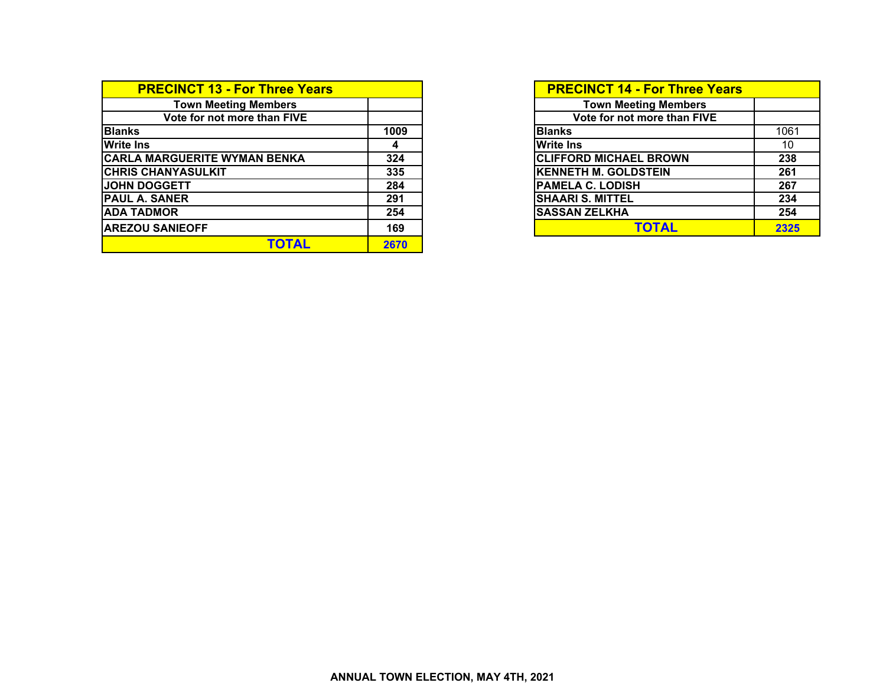| <b>PRECINCT 13 - For Three Years</b> |      | <b>PRECINCT 14 - For Three Years</b> |      |
|--------------------------------------|------|--------------------------------------|------|
| <b>Town Meeting Members</b>          |      | <b>Town Meeting Members</b>          |      |
| Vote for not more than FIVE          |      | Vote for not more than FIVE          |      |
| <b>Blanks</b>                        | 1009 | <b>Blanks</b>                        | 1061 |
| <b>Write Ins</b>                     | 4    | <b>Write Ins</b>                     | 10   |
| <b>CARLA MARGUERITE WYMAN BENKA</b>  | 324  | <b>CLIFFORD MICHAEL BROWN</b>        | 238  |
| <b>CHRIS CHANYASULKIT</b>            | 335  | <b>KENNETH M. GOLDSTEIN</b>          | 261  |
| <b>JOHN DOGGETT</b>                  | 284  | <b>PAMELA C. LODISH</b>              | 267  |
| <b>PAUL A. SANER</b>                 | 291  | <b>SHAARI S. MITTEL</b>              | 234  |
| <b>ADA TADMOR</b>                    | 254  | <b>SASSAN ZELKHA</b>                 | 254  |
| <b>AREZOU SANIEOFF</b>               | 169  | <b>TOTAL</b>                         | 2325 |
| <b>TOTAL</b>                         | 2670 |                                      |      |

| <b>PRECINCT 14 - For Three Years</b> |      |
|--------------------------------------|------|
| <b>Town Meeting Members</b>          |      |
| Vote for not more than FIVE          |      |
| <b>Blanks</b>                        | 1061 |
| <b>Write Ins</b>                     | 10   |
| <b>CLIFFORD MICHAEL BROWN</b>        | 238  |
| <b>KENNETH M. GOLDSTEIN</b>          | 261  |
| <b>PAMELA C. LODISH</b>              | 267  |
| <b>SHAARI S. MITTEL</b>              | 234  |
| <b>SASSAN ZELKHA</b>                 | 254  |
| TOTAL                                | 2325 |